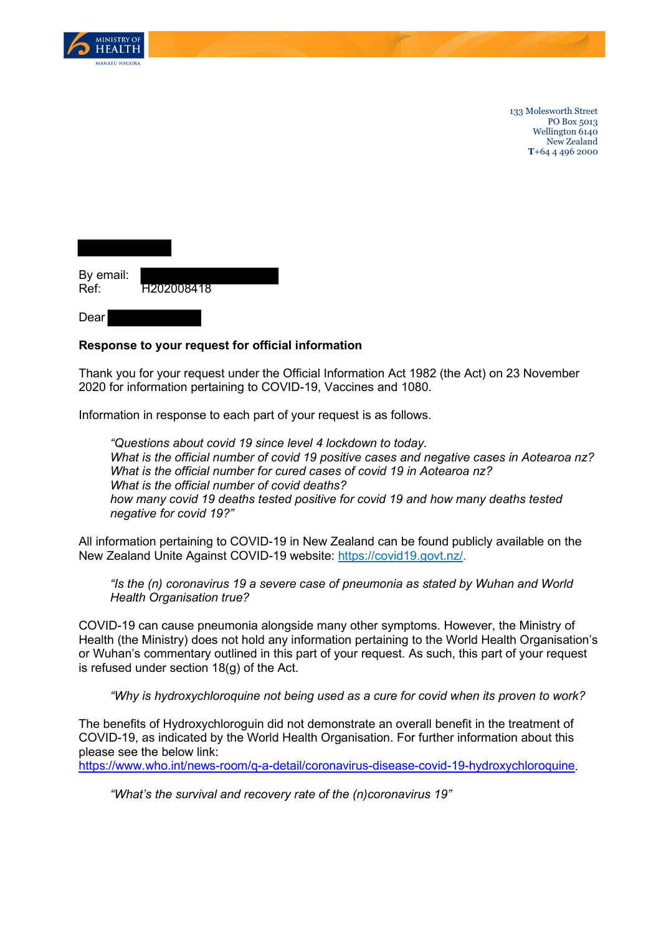

133 Molesworth Street PO Box 5013 Wellington 6140 New Zealand **T**+64 4 496 2000

| By email:<br>Ref: | H <sub>202008418</sub> |  |
|-------------------|------------------------|--|
| Dear              |                        |  |

## **Response to your request for official information**

Thank you for your request under the Official Information Act 1982 (the Act) on 23 November 2020 for information pertaining to COVID-19, Vaccines and 1080.

Information in response to each part of your request is as follows.

*"Questions about covid 19 since level 4 lockdown to today. What is the official number of covid 19 positive cases and negative cases in Aotearoa nz? What is the official number for cured cases of covid 19 in Aotearoa nz? What is the official number of covid deaths? how many covid 19 deaths tested positive for covid 19 and how many deaths tested negative for covid 19?"* 

All information pertaining to COVID-19 in New Zealand can be found publicly available on the New Zealand Unite Against COVID-19 website: [https://covid19.govt.nz/.](https://covid19.govt.nz/)

*"Is the (n) coronavirus 19 a severe case of pneumonia as stated by Wuhan and World Health Organisation true?*

COVID-19 can cause pneumonia alongside many other symptoms. However, the Ministry of Health (the Ministry) does not hold any information pertaining to the World Health Organisation's or Wuhan's commentary outlined in this part of your request. As such, this part of your request is refused under section 18(g) of the Act.

*"Why is hydroxychloroquine not being used as a cure for covid when its proven to work?*

The benefits of Hydroxychloroguin did not demonstrate an overall benefit in the treatment of COVID-19, as indicated by the World Health Organisation. For further information about this please see the below link:

[https://www.who.int/news-room/q-a-detail/coronavirus-disease-covid-19-hydroxychloroquine.](https://www.who.int/news-room/q-a-detail/coronavirus-disease-covid-19-hydroxychloroquine)

*"What's the survival and recovery rate of the (n)coronavirus 19"*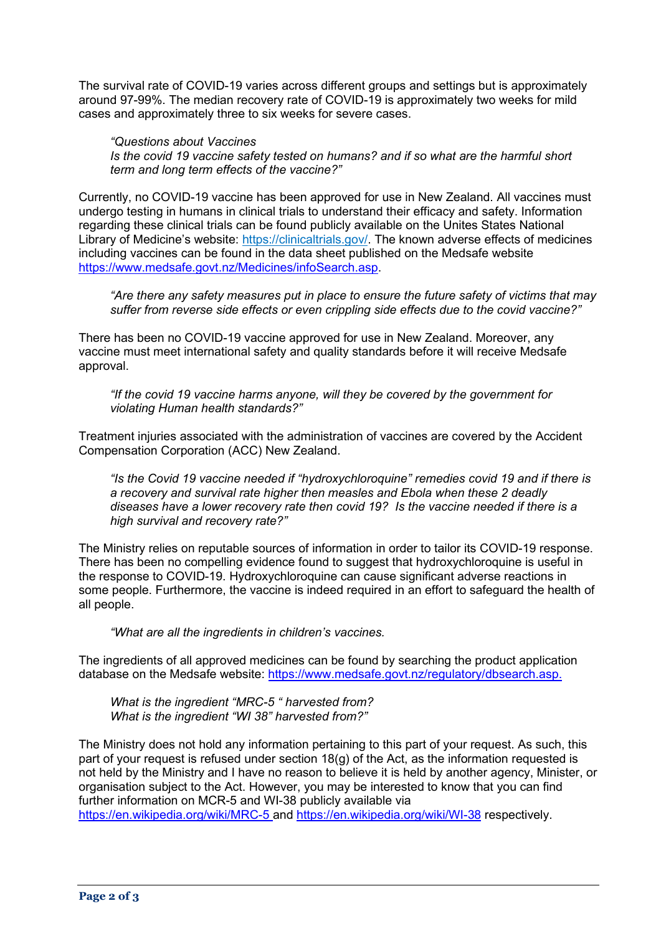The survival rate of COVID-19 varies across different groups and settings but is approximately around 97-99%. The median recovery rate of COVID-19 is approximately two weeks for mild cases and approximately three to six weeks for severe cases.

*"Questions about Vaccines Is the covid 19 vaccine safety tested on humans? and if so what are the harmful short term and long term effects of the vaccine?"*

Currently, no COVID-19 vaccine has been approved for use in New Zealand. All vaccines must undergo testing in humans in clinical trials to understand their efficacy and safety. Information regarding these clinical trials can be found publicly available on the Unites States National Library of Medicine's website: [https://clinicaltrials.gov/.](https://clinicaltrials.gov/) The known adverse effects of medicines including vaccines can be found in the data sheet published on the Medsafe website [https://www.medsafe.govt.nz/Medicines/infoSearch.asp.](https://www.medsafe.govt.nz/Medicines/infoSearch.asp)

*"Are there any safety measures put in place to ensure the future safety of victims that may suffer from reverse side effects or even crippling side effects due to the covid vaccine?"*

There has been no COVID-19 vaccine approved for use in New Zealand. Moreover, any vaccine must meet international safety and quality standards before it will receive Medsafe approval.

*"If the covid 19 vaccine harms anyone, will they be covered by the government for violating Human health standards?"*

Treatment injuries associated with the administration of vaccines are covered by the Accident Compensation Corporation (ACC) New Zealand.

*"Is the Covid 19 vaccine needed if "hydroxychloroquine" remedies covid 19 and if there is a recovery and survival rate higher then measles and Ebola when these 2 deadly diseases have a lower recovery rate then covid 19? Is the vaccine needed if there is a high survival and recovery rate?"*

The Ministry relies on reputable sources of information in order to tailor its COVID-19 response. There has been no compelling evidence found to suggest that hydroxychloroquine is useful in the response to COVID-19. Hydroxychloroquine can cause significant adverse reactions in some people. Furthermore, the vaccine is indeed required in an effort to safeguard the health of all people.

*"What are all the ingredients in children's vaccines.*

The ingredients of all approved medicines can be found by searching the product application database on the Medsafe website: [https://www.medsafe.govt.nz/regulatory/dbsearch.asp.](https://www.medsafe.govt.nz/regulatory/dbsearch.asp)

*What is the ingredient "MRC-5 " harvested from? What is the ingredient "WI 38" harvested from?"*

The Ministry does not hold any information pertaining to this part of your request. As such, this part of your request is refused under section 18(g) of the Act, as the information requested is not held by the Ministry and I have no reason to believe it is held by another agency, Minister, or organisation subject to the Act. However, you may be interested to know that you can find further information on MCR-5 and WI-38 publicly available via <https://en.wikipedia.org/wiki/MRC-5> and<https://en.wikipedia.org/wiki/WI-38> respectively.